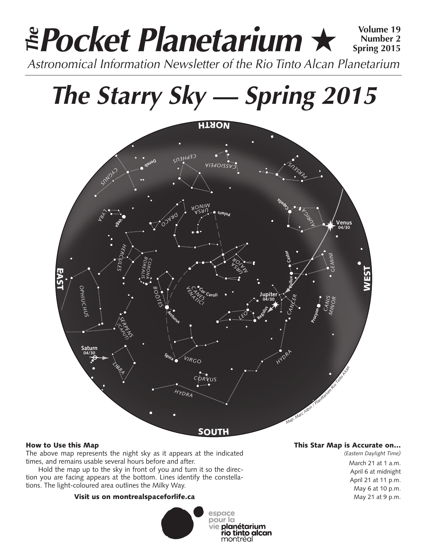### **Pocket Planetarium** ★ **Volume 19** Astronomical Information Newsletter of the Rio Tinto Alcan Planetarium **The Number 2 Spring 2015**

# **The Starry Sky — Spring 2015**



#### How to Use this Map

The above map represents the night sky as it appears at the indicated times, and remains usable several hours before and after.

Hold the map up to the sky in front of you and turn it so the direction you are facing appears at the bottom. Lines identify the constellations. The light-coloured area outlines the Milky Way.

#### Visit us on montrealspaceforlife.ca



#### This Star Map is Accurate on…

*(Eastern Daylight Time)* March 21 at 1 a.m. April 6 at midnight April 21 at 11 p.m. May 6 at 10 p.m. May 21 at 9 p.m.